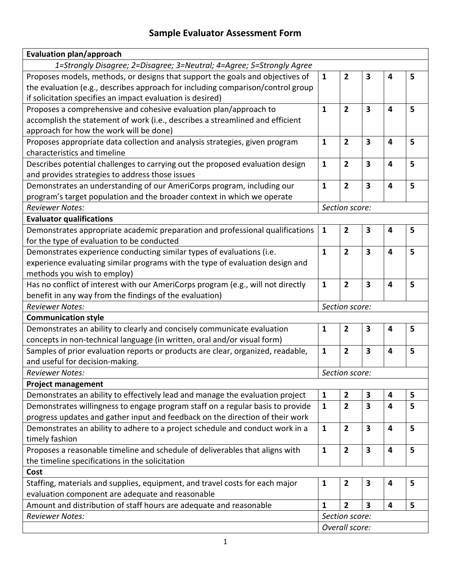## **Sample Evaluator Assessment Form**

| <b>Evaluation plan/approach</b>                                                  |                |                         |                         |                         |   |
|----------------------------------------------------------------------------------|----------------|-------------------------|-------------------------|-------------------------|---|
| 1=Strongly Disagree; 2=Disagree; 3=Neutral; 4=Agree; 5=Strongly Agree            |                |                         |                         |                         |   |
| Proposes models, methods, or designs that support the goals and objectives of    | $\mathbf{1}$   | $\overline{2}$          | 3                       | 4                       | 5 |
| the evaluation (e.g., describes approach for including comparison/control group  |                |                         |                         |                         |   |
| if solicitation specifies an impact evaluation is desired)                       |                |                         |                         |                         |   |
| Proposes a comprehensive and cohesive evaluation plan/approach to                | $\mathbf{1}$   | $\overline{2}$          | $\overline{\mathbf{3}}$ | 4                       | 5 |
| accomplish the statement of work (i.e., describes a streamlined and efficient    |                |                         |                         |                         |   |
| approach for how the work will be done)                                          |                |                         |                         |                         |   |
| Proposes appropriate data collection and analysis strategies, given program      | $\mathbf{1}$   | $\overline{2}$          | $\overline{\mathbf{3}}$ | $\overline{\mathbf{4}}$ | 5 |
| characteristics and timeline                                                     |                |                         |                         |                         |   |
| Describes potential challenges to carrying out the proposed evaluation design    | $\mathbf{1}$   | $\overline{2}$          | 3                       | 4                       | 5 |
| and provides strategies to address those issues                                  |                |                         |                         |                         |   |
| Demonstrates an understanding of our AmeriCorps program, including our           | $\mathbf{1}$   | $\overline{2}$          | $\overline{\mathbf{3}}$ | 4                       | 5 |
| program's target population and the broader context in which we operate          |                |                         |                         |                         |   |
| <b>Reviewer Notes:</b><br>Section score:                                         |                |                         |                         |                         |   |
| <b>Evaluator qualifications</b>                                                  |                |                         |                         |                         |   |
| Demonstrates appropriate academic preparation and professional qualifications    | $\mathbf{1}$   | 2                       | 3                       | $\overline{\mathbf{4}}$ | 5 |
| for the type of evaluation to be conducted                                       |                |                         |                         |                         |   |
| Demonstrates experience conducting similar types of evaluations (i.e.            | $\mathbf{1}$   | $\overline{\mathbf{2}}$ | $\overline{\mathbf{3}}$ | $\overline{\mathbf{4}}$ | 5 |
| experience evaluating similar programs with the type of evaluation design and    |                |                         |                         |                         |   |
| methods you wish to employ)                                                      |                |                         |                         |                         |   |
| Has no conflict of interest with our AmeriCorps program (e.g., will not directly | $\mathbf{1}$   | 2                       | 3                       | 4                       | 5 |
| benefit in any way from the findings of the evaluation)                          |                |                         |                         |                         |   |
| <b>Reviewer Notes:</b>                                                           | Section score: |                         |                         |                         |   |
| <b>Communication style</b>                                                       |                |                         |                         |                         |   |
| Demonstrates an ability to clearly and concisely communicate evaluation          | $\mathbf 1$    | $\overline{2}$          | 3                       | 4                       | 5 |
| concepts in non-technical language (in written, oral and/or visual form)         |                |                         |                         |                         |   |
| Samples of prior evaluation reports or products are clear, organized, readable,  | $\mathbf{1}$   | $\overline{2}$          | $\overline{\mathbf{3}}$ | $\overline{\mathbf{4}}$ | 5 |
| and useful for decision-making.                                                  |                |                         |                         |                         |   |
| <b>Reviewer Notes:</b>                                                           | Section score: |                         |                         |                         |   |
| <b>Project management</b>                                                        |                |                         |                         |                         |   |
| Demonstrates an ability to effectively lead and manage the evaluation project    | $\mathbf{1}$   | 2                       | 3                       | $\overline{\mathbf{4}}$ | 5 |
| Demonstrates willingness to engage program staff on a regular basis to provide   | $\mathbf{1}$   | $\overline{2}$          | 3                       | 4                       | 5 |
| progress updates and gather input and feedback on the direction of their work    |                |                         |                         |                         |   |
| Demonstrates an ability to adhere to a project schedule and conduct work in a    | $\mathbf{1}$   | $\overline{\mathbf{2}}$ | 3                       | 4                       | 5 |
| timely fashion                                                                   |                |                         |                         |                         |   |
| Proposes a reasonable timeline and schedule of deliverables that aligns with     | $\mathbf{1}$   | $\overline{\mathbf{2}}$ | 3                       | $\overline{\mathbf{4}}$ | 5 |
| the timeline specifications in the solicitation                                  |                |                         |                         |                         |   |
| Cost                                                                             |                |                         |                         |                         |   |
| Staffing, materials and supplies, equipment, and travel costs for each major     | $\mathbf{1}$   | $\overline{2}$          | 3                       | 4                       | 5 |
| evaluation component are adequate and reasonable                                 |                |                         |                         |                         |   |
| Amount and distribution of staff hours are adequate and reasonable               | $\mathbf{1}$   | $\overline{2}$          | 3                       | $\overline{\mathbf{4}}$ | 5 |
| <b>Reviewer Notes:</b>                                                           | Section score: |                         |                         |                         |   |
|                                                                                  | Overall score: |                         |                         |                         |   |